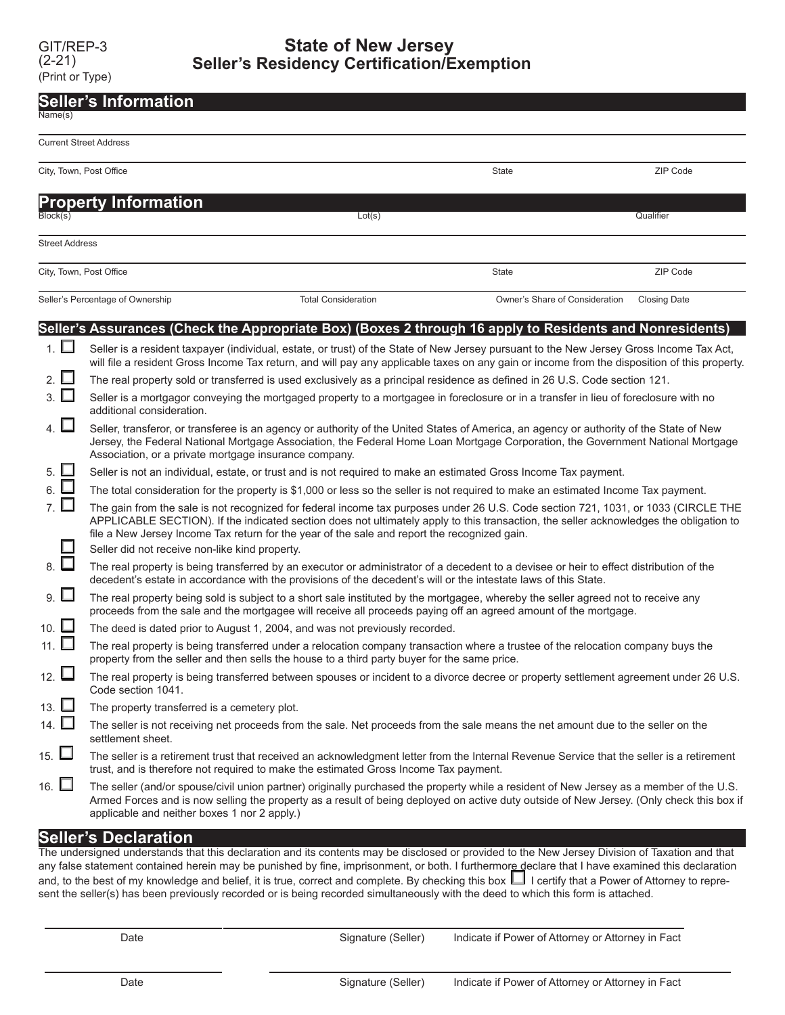| <b>Seller's Information</b> |                                                                                                                                                                                                                                                                                                                                                                                                                                                                                                          |                                                                                                                                                                                                                                                            |                                |                     |  |  |
|-----------------------------|----------------------------------------------------------------------------------------------------------------------------------------------------------------------------------------------------------------------------------------------------------------------------------------------------------------------------------------------------------------------------------------------------------------------------------------------------------------------------------------------------------|------------------------------------------------------------------------------------------------------------------------------------------------------------------------------------------------------------------------------------------------------------|--------------------------------|---------------------|--|--|
| Name(s)                     |                                                                                                                                                                                                                                                                                                                                                                                                                                                                                                          |                                                                                                                                                                                                                                                            |                                |                     |  |  |
|                             | <b>Current Street Address</b>                                                                                                                                                                                                                                                                                                                                                                                                                                                                            |                                                                                                                                                                                                                                                            |                                |                     |  |  |
|                             | City, Town, Post Office                                                                                                                                                                                                                                                                                                                                                                                                                                                                                  |                                                                                                                                                                                                                                                            | State                          | ZIP Code            |  |  |
|                             | <b>Property Information</b>                                                                                                                                                                                                                                                                                                                                                                                                                                                                              |                                                                                                                                                                                                                                                            |                                |                     |  |  |
| Block(s)                    |                                                                                                                                                                                                                                                                                                                                                                                                                                                                                                          | Lot(s)                                                                                                                                                                                                                                                     |                                | Qualifier           |  |  |
| <b>Street Address</b>       |                                                                                                                                                                                                                                                                                                                                                                                                                                                                                                          |                                                                                                                                                                                                                                                            |                                |                     |  |  |
|                             | City, Town, Post Office                                                                                                                                                                                                                                                                                                                                                                                                                                                                                  |                                                                                                                                                                                                                                                            | State                          | ZIP Code            |  |  |
|                             | Seller's Percentage of Ownership                                                                                                                                                                                                                                                                                                                                                                                                                                                                         | <b>Total Consideration</b>                                                                                                                                                                                                                                 | Owner's Share of Consideration | <b>Closing Date</b> |  |  |
|                             |                                                                                                                                                                                                                                                                                                                                                                                                                                                                                                          | (Seller's Assurances (Check the Appropriate Box) (Boxes 2 through 16 apply to Residents and Nonresidents                                                                                                                                                   |                                |                     |  |  |
| 1. $\square$                | Seller is a resident taxpayer (individual, estate, or trust) of the State of New Jersey pursuant to the New Jersey Gross Income Tax Act,<br>will file a resident Gross Income Tax return, and will pay any applicable taxes on any gain or income from the disposition of this property.                                                                                                                                                                                                                 |                                                                                                                                                                                                                                                            |                                |                     |  |  |
| 2. $\Box$                   |                                                                                                                                                                                                                                                                                                                                                                                                                                                                                                          | The real property sold or transferred is used exclusively as a principal residence as defined in 26 U.S. Code section 121.                                                                                                                                 |                                |                     |  |  |
| $3.$ $\Box$                 | Seller is a mortgagor conveying the mortgaged property to a mortgagee in foreclosure or in a transfer in lieu of foreclosure with no<br>additional consideration.<br>Seller, transferor, or transferee is an agency or authority of the United States of America, an agency or authority of the State of New<br>Jersey, the Federal National Mortgage Association, the Federal Home Loan Mortgage Corporation, the Government National Mortgage<br>Association, or a private mortgage insurance company. |                                                                                                                                                                                                                                                            |                                |                     |  |  |
| 4. $\square$                |                                                                                                                                                                                                                                                                                                                                                                                                                                                                                                          |                                                                                                                                                                                                                                                            |                                |                     |  |  |
| 5.                          |                                                                                                                                                                                                                                                                                                                                                                                                                                                                                                          | Seller is not an individual, estate, or trust and is not required to make an estimated Gross Income Tax payment.                                                                                                                                           |                                |                     |  |  |
| 6. ⊔                        | The total consideration for the property is \$1,000 or less so the seller is not required to make an estimated Income Tax payment.                                                                                                                                                                                                                                                                                                                                                                       |                                                                                                                                                                                                                                                            |                                |                     |  |  |
| 7. $\square$                | The gain from the sale is not recognized for federal income tax purposes under 26 U.S. Code section 721, 1031, or 1033 (CIRCLE THE<br>APPLICABLE SECTION). If the indicated section does not ultimately apply to this transaction, the seller acknowledges the obligation to<br>file a New Jersey Income Tax return for the year of the sale and report the recognized gain.                                                                                                                             |                                                                                                                                                                                                                                                            |                                |                     |  |  |
|                             | Seller did not receive non-like kind property.                                                                                                                                                                                                                                                                                                                                                                                                                                                           |                                                                                                                                                                                                                                                            |                                |                     |  |  |
| $_8.$ $\square$             |                                                                                                                                                                                                                                                                                                                                                                                                                                                                                                          | The real property is being transferred by an executor or administrator of a decedent to a devisee or heir to effect distribution of the<br>decedent's estate in accordance with the provisions of the decedent's will or the intestate laws of this State. |                                |                     |  |  |
| $9. \Box$                   |                                                                                                                                                                                                                                                                                                                                                                                                                                                                                                          | The real property being sold is subject to a short sale instituted by the mortgagee, whereby the seller agreed not to receive any<br>proceeds from the sale and the mortgagee will receive all proceeds paying off an agreed amount of the mortgage.       |                                |                     |  |  |
| 10. $\square$               |                                                                                                                                                                                                                                                                                                                                                                                                                                                                                                          | The deed is dated prior to August 1, 2004, and was not previously recorded.                                                                                                                                                                                |                                |                     |  |  |
| 11. □                       |                                                                                                                                                                                                                                                                                                                                                                                                                                                                                                          | The real property is being transferred under a relocation company transaction where a trustee of the relocation company buys the<br>property from the seller and then sells the house to a third party buyer for the same price.                           |                                |                     |  |  |
| 12. $\Box$                  | Code section 1041.                                                                                                                                                                                                                                                                                                                                                                                                                                                                                       | The real property is being transferred between spouses or incident to a divorce decree or property settlement agreement under 26 U.S.                                                                                                                      |                                |                     |  |  |
| 13. $\Box$                  | The property transferred is a cemetery plot.                                                                                                                                                                                                                                                                                                                                                                                                                                                             |                                                                                                                                                                                                                                                            |                                |                     |  |  |
| 14. $\square$               | settlement sheet.                                                                                                                                                                                                                                                                                                                                                                                                                                                                                        | The seller is not receiving net proceeds from the sale. Net proceeds from the sale means the net amount due to the seller on the                                                                                                                           |                                |                     |  |  |
| 15. $\Box$                  |                                                                                                                                                                                                                                                                                                                                                                                                                                                                                                          | The seller is a retirement trust that received an acknowledgment letter from the Internal Revenue Service that the seller is a retirement<br>trust, and is therefore not required to make the estimated Gross Income Tax payment.                          |                                |                     |  |  |
| 16. $\Box$                  | The seller (and/or spouse/civil union partner) originally purchased the property while a resident of New Jersey as a member of the U.S.<br>Armed Forces and is now selling the property as a result of being deployed on active duty outside of New Jersey. (Only check this box if<br>applicable and neither boxes 1 nor 2 apply.)                                                                                                                                                                      |                                                                                                                                                                                                                                                            |                                |                     |  |  |

## **Seller's Declaration**

The undersigned understands that this declaration and its contents may be disclosed or provided to the New Jersey Division of Taxation and that any false statement contained herein may be punished by fine, imprisonment, or both. I furthermor<u>e d</u>eclare that I have examined this declaration and, to the best of my knowledge and belief, it is true, correct and complete. By checking this box ┗┛ l certify that a Power of Attorney to represent the seller(s) has been previously recorded or is being recorded simultaneously with the deed to which this form is attached.